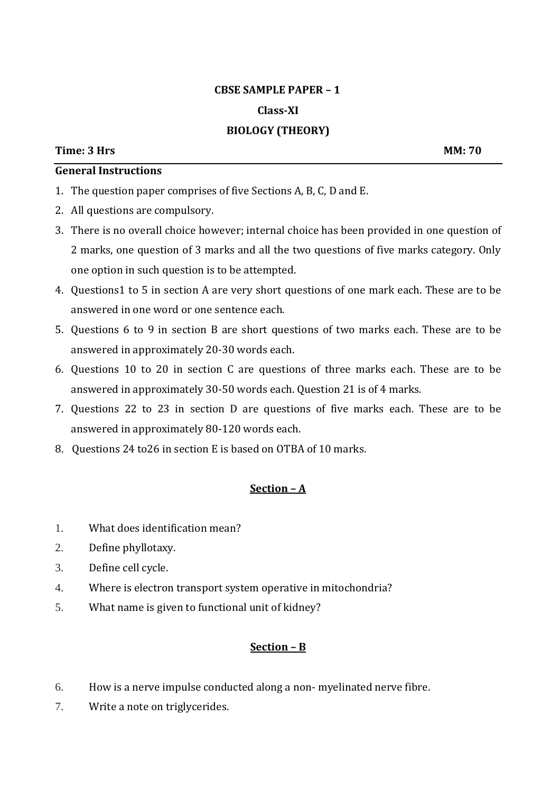# **CBSE SAMPLE PAPER – 1 Class-XI BIOLOGY (THEORY)**

## **General Instructions**

- 1. The question paper comprises of five Sections A, B, C, D and E.
- 2. All questions are compulsory.
- 3. There is no overall choice however; internal choice has been provided in one question of 2 marks, one question of 3 marks and all the two questions of five marks category. Only one option in such question is to be attempted.
- 4. Questions1 to 5 in section A are very short questions of one mark each. These are to be answered in one word or one sentence each.
- 5. Questions 6 to 9 in section B are short questions of two marks each. These are to be answered in approximately 20-30 words each.
- 6. Questions 10 to 20 in section C are questions of three marks each. These are to be answered in approximately 30-50 words each. Question 21 is of 4 marks.
- 7. Questions 22 to 23 in section D are questions of five marks each. These are to be answered in approximately 80-120 words each.
- 8. Questions 24 to26 in section E is based on OTBA of 10 marks.

#### **Section – A**

- 1. What does identification mean?
- 2. Define phyllotaxy.
- 3. Define cell cycle.
- 4. Where is electron transport system operative in mitochondria?
- 5. What name is given to functional unit of kidney?

- 6. How is a nerve impulse conducted along a non- myelinated nerve fibre.
- 7. Write a note on triglycerides.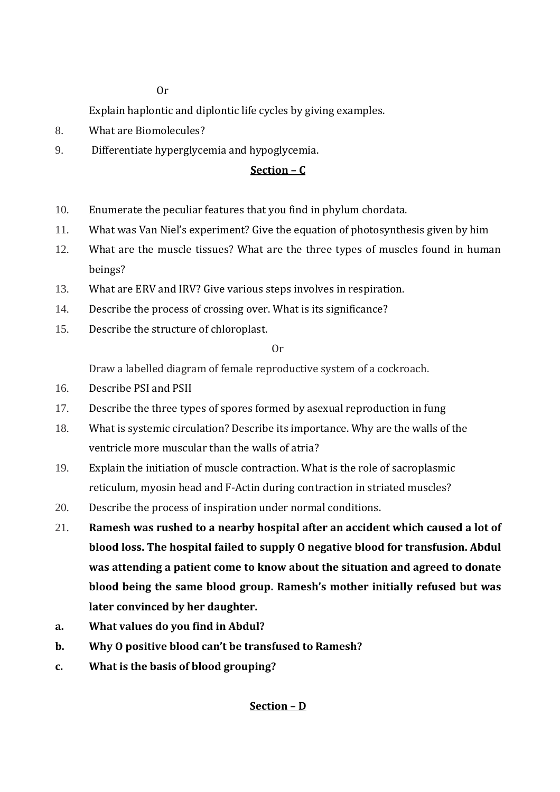Or

Explain haplontic and diplontic life cycles by giving examples.

- 8. What are Biomolecules?
- 9. Differentiate hyperglycemia and hypoglycemia.

## **Section – C**

- 10. Enumerate the peculiar features that you find in phylum chordata.
- 11. What was Van Niel's experiment? Give the equation of photosynthesis given by him
- 12. What are the muscle tissues? What are the three types of muscles found in human beings?
- 13. What are ERV and IRV? Give various steps involves in respiration.
- 14. Describe the process of crossing over. What is its significance?
- 15. Describe the structure of chloroplast.

Or

Draw a labelled diagram of female reproductive system of a cockroach.

- 16. Describe PSI and PSII
- 17. Describe the three types of spores formed by asexual reproduction in fung
- 18. What is systemic circulation? Describe its importance. Why are the walls of the ventricle more muscular than the walls of atria?
- 19. Explain the initiation of muscle contraction. What is the role of sacroplasmic reticulum, myosin head and F-Actin during contraction in striated muscles?
- 20. Describe the process of inspiration under normal conditions.
- 21. **Ramesh was rushed to a nearby hospital after an accident which caused a lot of blood loss. The hospital failed to supply O negative blood for transfusion. Abdul was attending a patient come to know about the situation and agreed to donate blood being the same blood group. Ramesh's mother initially refused but was later convinced by her daughter.**
- **a. What values do you find in Abdul?**
- **b. Why O positive blood can't be transfused to Ramesh?**
- **c. What is the basis of blood grouping?**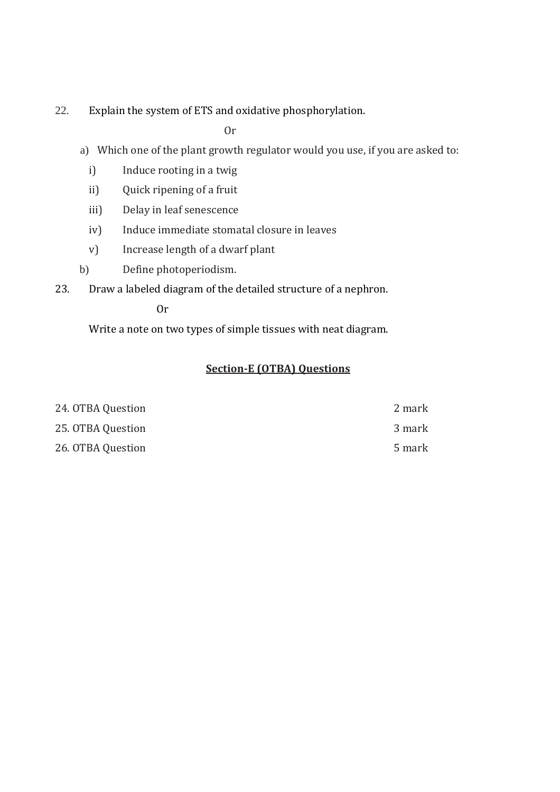22. Explain the system of ETS and oxidative phosphorylation.

Or

- a) Which one of the plant growth regulator would you use, if you are asked to:
	- i) Induce rooting in a twig
	- ii) Quick ripening of a fruit
	- iii) Delay in leaf senescence
	- iv) Induce immediate stomatal closure in leaves
	- v) Increase length of a dwarf plant
- b) Define photoperiodism.
- 23. Draw a labeled diagram of the detailed structure of a nephron.

Or

Write a note on two types of simple tissues with neat diagram.

| 24. OTBA Question | 2 mark |
|-------------------|--------|
| 25. OTBA Question | 3 mark |
| 26. OTBA Question | 5 mark |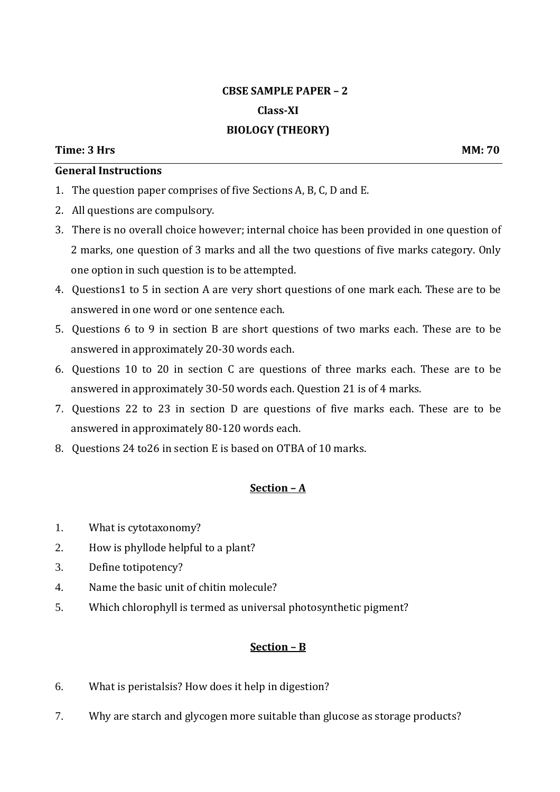## **CBSE SAMPLE PAPER – 2 Class-XI BIOLOGY (THEORY)**

#### **Time: 3 Hrs MM: 70**

### **General Instructions**

- 1. The question paper comprises of five Sections A, B, C, D and E.
- 2. All questions are compulsory.
- 3. There is no overall choice however; internal choice has been provided in one question of 2 marks, one question of 3 marks and all the two questions of five marks category. Only one option in such question is to be attempted.
- 4. Questions1 to 5 in section A are very short questions of one mark each. These are to be answered in one word or one sentence each.
- 5. Questions 6 to 9 in section B are short questions of two marks each. These are to be answered in approximately 20-30 words each.
- 6. Questions 10 to 20 in section C are questions of three marks each. These are to be answered in approximately 30-50 words each. Question 21 is of 4 marks.
- 7. Questions 22 to 23 in section D are questions of five marks each. These are to be answered in approximately 80-120 words each.
- 8. Questions 24 to26 in section E is based on OTBA of 10 marks.

#### **Section – A**

- 1. What is cytotaxonomy?
- 2. How is phyllode helpful to a plant?
- 3. Define totipotency?
- 4. Name the basic unit of chitin molecule?
- 5. Which chlorophyll is termed as universal photosynthetic pigment?

- 6. What is peristalsis? How does it help in digestion?
- 7. Why are starch and glycogen more suitable than glucose as storage products?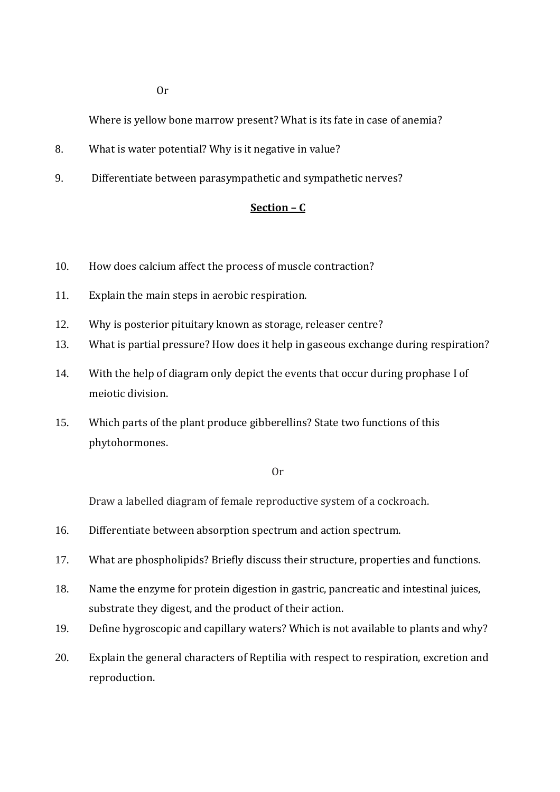Or

Where is yellow bone marrow present? What is its fate in case of anemia?

- 8. What is water potential? Why is it negative in value?
- 9. Differentiate between parasympathetic and sympathetic nerves?

## **Section – C**

- 10. How does calcium affect the process of muscle contraction?
- 11. Explain the main steps in aerobic respiration.
- 12. Why is posterior pituitary known as storage, releaser centre?
- 13. What is partial pressure? How does it help in gaseous exchange during respiration?
- 14. With the help of diagram only depict the events that occur during prophase I of meiotic division.
- 15. Which parts of the plant produce gibberellins? State two functions of this phytohormones.

#### Or

Draw a labelled diagram of female reproductive system of a cockroach.

- 16. Differentiate between absorption spectrum and action spectrum.
- 17. What are phospholipids? Briefly discuss their structure, properties and functions.
- 18. Name the enzyme for protein digestion in gastric, pancreatic and intestinal juices, substrate they digest, and the product of their action.
- 19. Define hygroscopic and capillary waters? Which is not available to plants and why?
- 20. Explain the general characters of Reptilia with respect to respiration, excretion and reproduction.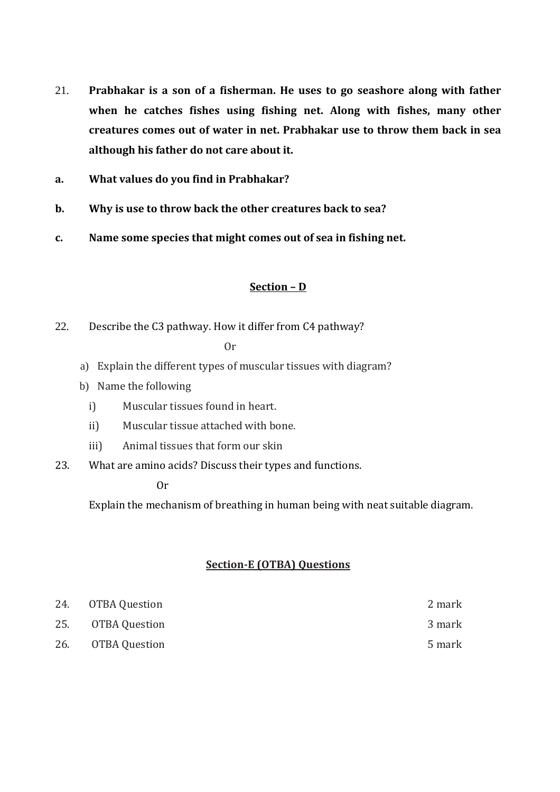- 21. **Prabhakar is a son of a fisherman. He uses to go seashore along with father when he catches fishes using fishing net. Along with fishes, many other creatures comes out of water in net. Prabhakar use to throw them back in sea although his father do not care about it.**
- **a. What values do you find in Prabhakar?**
- **b. Why is use to throw back the other creatures back to sea?**
- **c. Name some species that might comes out of sea in fishing net.**

22. Describe the C3 pathway. How it differ from C4 pathway?

Or

- a) Explain the different types of muscular tissues with diagram?
- b) Name the following
	- i) Muscular tissues found in heart.
	- ii) Muscular tissue attached with bone.
	- iii) Animal tissues that form our skin
- 23. What are amino acids? Discuss their types and functions.

#### Or

Explain the mechanism of breathing in human being with neat suitable diagram.

| 24. OTBA Question | 2 mark |
|-------------------|--------|
| 25. OTBA Question | 3 mark |
| 26. OTBA Question | 5 mark |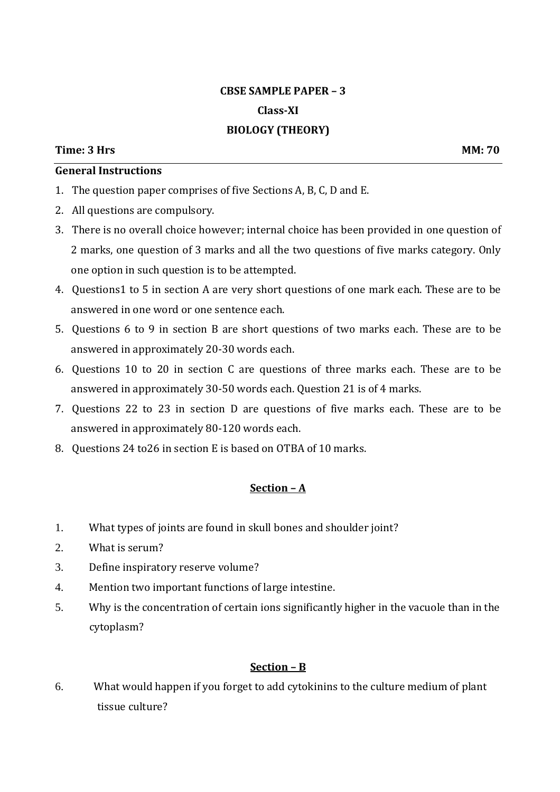## **CBSE SAMPLE PAPER – 3 Class-XI BIOLOGY (THEORY)**

#### **Time: 3 Hrs MM: 70**

### **General Instructions**

- 1. The question paper comprises of five Sections A, B, C, D and E.
- 2. All questions are compulsory.
- 3. There is no overall choice however; internal choice has been provided in one question of 2 marks, one question of 3 marks and all the two questions of five marks category. Only one option in such question is to be attempted.
- 4. Questions1 to 5 in section A are very short questions of one mark each. These are to be answered in one word or one sentence each.
- 5. Questions 6 to 9 in section B are short questions of two marks each. These are to be answered in approximately 20-30 words each.
- 6. Questions 10 to 20 in section C are questions of three marks each. These are to be answered in approximately 30-50 words each. Question 21 is of 4 marks.
- 7. Questions 22 to 23 in section D are questions of five marks each. These are to be answered in approximately 80-120 words each.
- 8. Questions 24 to26 in section E is based on OTBA of 10 marks.

## **Section – A**

- 1. What types of joints are found in skull bones and shoulder joint?
- 2. What is serum?
- 3. Define inspiratory reserve volume?
- 4. Mention two important functions of large intestine.
- 5. Why is the concentration of certain ions significantly higher in the vacuole than in the cytoplasm?

#### **Section – B**

6. What would happen if you forget to add cytokinins to the culture medium of plant tissue culture?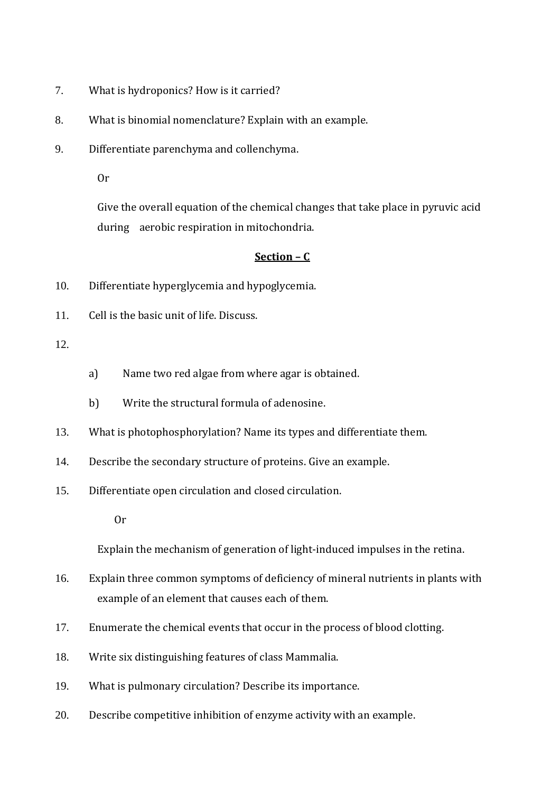- 7. What is hydroponics? How is it carried?
- 8. What is binomial nomenclature? Explain with an example.
- 9. Differentiate parenchyma and collenchyma.

Or

Give the overall equation of the chemical changes that take place in pyruvic acid during aerobic respiration in mitochondria.

#### **Section – C**

- 10. Differentiate hyperglycemia and hypoglycemia.
- 11. Cell is the basic unit of life. Discuss.

#### 12.

- a) Name two red algae from where agar is obtained.
- b) Write the structural formula of adenosine.
- 13. What is photophosphorylation? Name its types and differentiate them.
- 14. Describe the secondary structure of proteins. Give an example.
- 15. Differentiate open circulation and closed circulation.
	- Or

Explain the mechanism of generation of light-induced impulses in the retina.

- 16. Explain three common symptoms of deficiency of mineral nutrients in plants with example of an element that causes each of them.
- 17. Enumerate the chemical events that occur in the process of blood clotting.
- 18. Write six distinguishing features of class Mammalia.
- 19. What is pulmonary circulation? Describe its importance.
- 20. Describe competitive inhibition of enzyme activity with an example.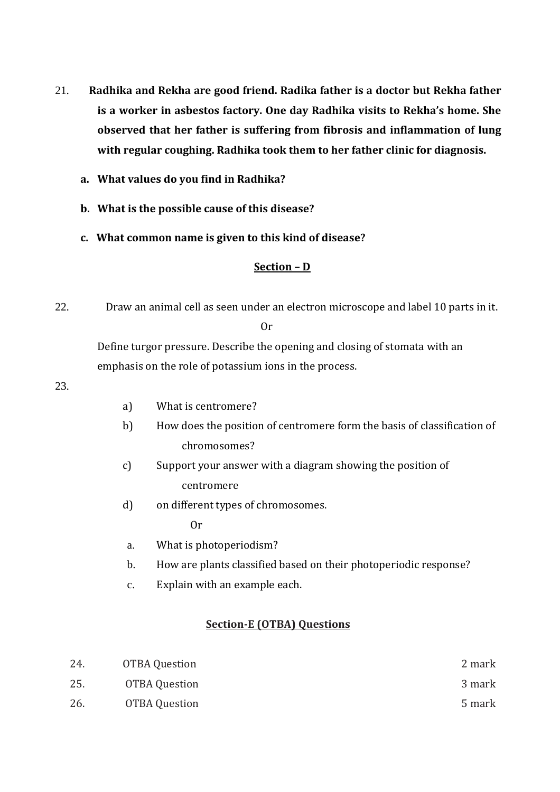- 21. **Radhika and Rekha are good friend. Radika father is a doctor but Rekha father is a worker in asbestos factory. One day Radhika visits to Rekha's home. She observed that her father is suffering from fibrosis and inflammation of lung with regular coughing. Radhika took them to her father clinic for diagnosis.** 
	- **a. What values do you find in Radhika?**
	- **b. What is the possible cause of this disease?**
	- **c. What common name is given to this kind of disease?**

22. Draw an animal cell as seen under an electron microscope and label 10 parts in it.

Or

Define turgor pressure. Describe the opening and closing of stomata with an emphasis on the role of potassium ions in the process.

23.

- a) What is centromere?
- b) How does the position of centromere form the basis of classification of chromosomes?
- c) Support your answer with a diagram showing the position of centromere
- d) on different types of chromosomes.

Or

- a. What is photoperiodism?
- b. How are plants classified based on their photoperiodic response?
- c. Explain with an example each.

| 24. | OTBA Question | 2 mark |
|-----|---------------|--------|
| 25. | OTBA Question | 3 mark |
| 26. | OTBA Question | 5 mark |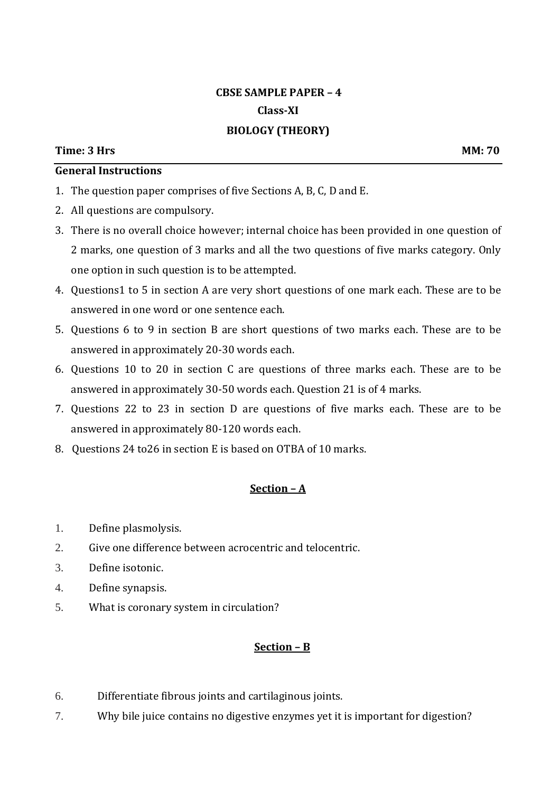## **CBSE SAMPLE PAPER – 4 Class-XI BIOLOGY (THEORY)**

## **General Instructions**

- 1. The question paper comprises of five Sections A, B, C, D and E.
- 2. All questions are compulsory.
- 3. There is no overall choice however; internal choice has been provided in one question of 2 marks, one question of 3 marks and all the two questions of five marks category. Only one option in such question is to be attempted.
- 4. Questions1 to 5 in section A are very short questions of one mark each. These are to be answered in one word or one sentence each.
- 5. Questions 6 to 9 in section B are short questions of two marks each. These are to be answered in approximately 20-30 words each.
- 6. Questions 10 to 20 in section C are questions of three marks each. These are to be answered in approximately 30-50 words each. Question 21 is of 4 marks.
- 7. Questions 22 to 23 in section D are questions of five marks each. These are to be answered in approximately 80-120 words each.
- 8. Questions 24 to26 in section E is based on OTBA of 10 marks.

#### **Section – A**

- 1. Define plasmolysis.
- 2. Give one difference between acrocentric and telocentric.
- 3. Define isotonic.
- 4. Define synapsis.
- 5. What is coronary system in circulation?

- 6. Differentiate fibrous joints and cartilaginous joints.
- 7. Why bile juice contains no digestive enzymes yet it is important for digestion?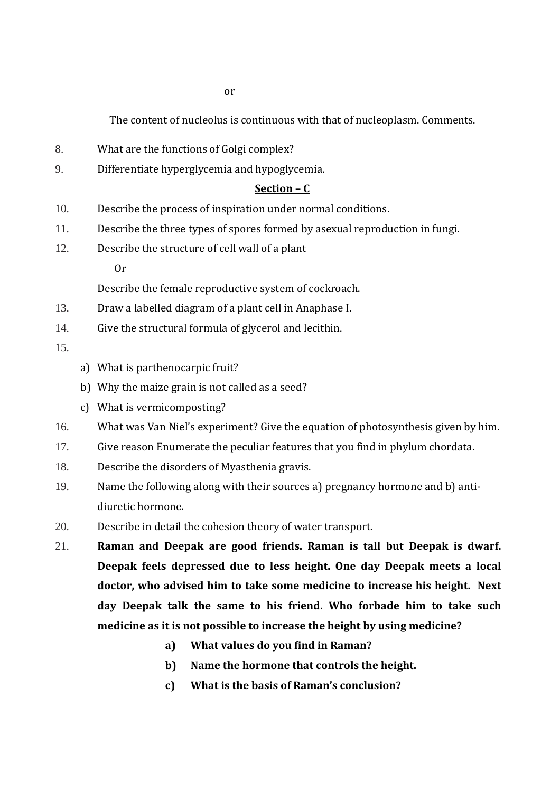The content of nucleolus is continuous with that of nucleoplasm. Comments.

- 8. What are the functions of Golgi complex?
- 9. Differentiate hyperglycemia and hypoglycemia.

### **Section – C**

- 10. Describe the process of inspiration under normal conditions.
- 11. Describe the three types of spores formed by asexual reproduction in fungi.
- 12. Describe the structure of cell wall of a plant
	- Or

Describe the female reproductive system of cockroach.

- 13. Draw a labelled diagram of a plant cell in Anaphase I.
- 14. Give the structural formula of glycerol and lecithin.

15.

- a) What is parthenocarpic fruit?
- b) Why the maize grain is not called as a seed?
- c) What is vermicomposting?
- 16. What was Van Niel's experiment? Give the equation of photosynthesis given by him.
- 17. Give reason Enumerate the peculiar features that you find in phylum chordata.
- 18. Describe the disorders of Myasthenia gravis.
- 19. Name the following along with their sources a) pregnancy hormone and b) antidiuretic hormone.
- 20. Describe in detail the cohesion theory of water transport.
- 21. **Raman and Deepak are good friends. Raman is tall but Deepak is dwarf. Deepak feels depressed due to less height. One day Deepak meets a local doctor, who advised him to take some medicine to increase his height. Next day Deepak talk the same to his friend. Who forbade him to take such medicine as it is not possible to increase the height by using medicine?** 
	- **a) What values do you find in Raman?**
	- **b) Name the hormone that controls the height.**
	- **c) What is the basis of Raman's conclusion?**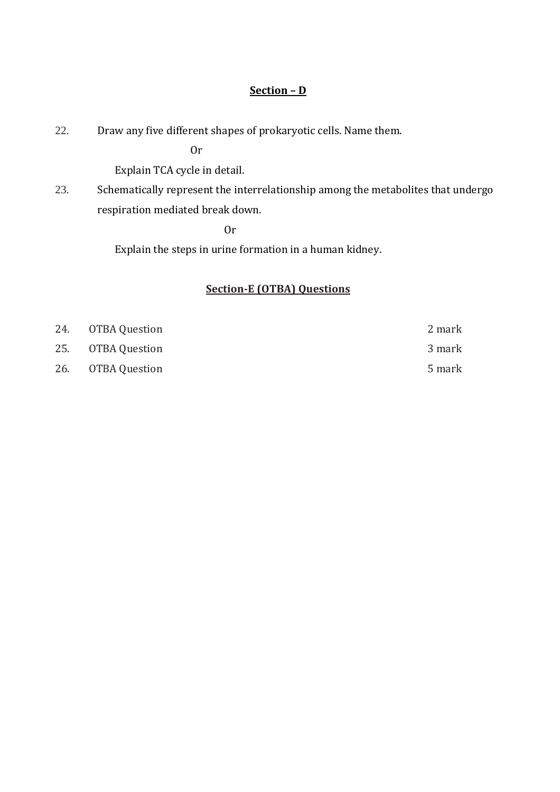22. Draw any five different shapes of prokaryotic cells. Name them.

Or

Explain TCA cycle in detail.

23. Schematically represent the interrelationship among the metabolites that undergo respiration mediated break down.

Or

Explain the steps in urine formation in a human kidney.

| 24. OTBA Question | 2 mark |
|-------------------|--------|
| 25. OTBA Question | 3 mark |
| 26. OTBA Question | 5 mark |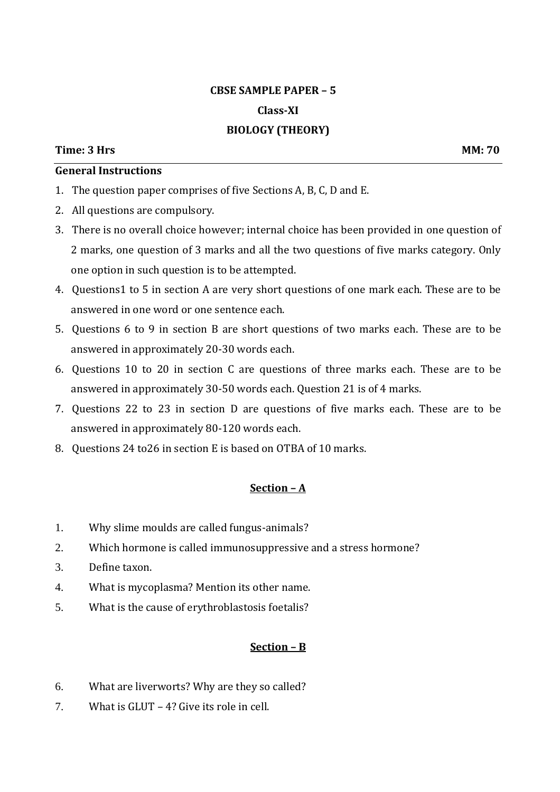# **CBSE SAMPLE PAPER – 5 Class-XI BIOLOGY (THEORY)**

#### **Time: 3 Hrs MM: 70**

### **General Instructions**

- 1. The question paper comprises of five Sections A, B, C, D and E.
- 2. All questions are compulsory.
- 3. There is no overall choice however; internal choice has been provided in one question of 2 marks, one question of 3 marks and all the two questions of five marks category. Only one option in such question is to be attempted.
- 4. Questions1 to 5 in section A are very short questions of one mark each. These are to be answered in one word or one sentence each.
- 5. Questions 6 to 9 in section B are short questions of two marks each. These are to be answered in approximately 20-30 words each.
- 6. Questions 10 to 20 in section C are questions of three marks each. These are to be answered in approximately 30-50 words each. Question 21 is of 4 marks.
- 7. Questions 22 to 23 in section D are questions of five marks each. These are to be answered in approximately 80-120 words each.
- 8. Questions 24 to26 in section E is based on OTBA of 10 marks.

#### **Section – A**

- 1. Why slime moulds are called fungus-animals?
- 2. Which hormone is called immunosuppressive and a stress hormone?
- 3. Define taxon.
- 4. What is mycoplasma? Mention its other name.
- 5. What is the cause of erythroblastosis foetalis?

- 6. What are liverworts? Why are they so called?
- 7. What is GLUT 4? Give its role in cell.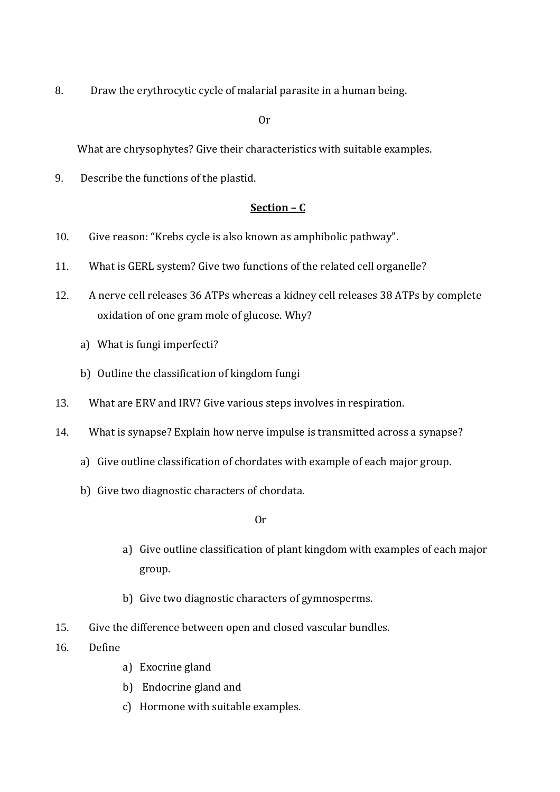8. Draw the erythrocytic cycle of malarial parasite in a human being.

Or

What are chrysophytes? Give their characteristics with suitable examples.

9. Describe the functions of the plastid.

### **Section – C**

- 10. Give reason: "Krebs cycle is also known as amphibolic pathway".
- 11. What is GERL system? Give two functions of the related cell organelle?
- 12. A nerve cell releases 36 ATPs whereas a kidney cell releases 38 ATPs by complete oxidation of one gram mole of glucose. Why?
	- a) What is fungi imperfecti?
	- b) Outline the classification of kingdom fungi
- 13. What are ERV and IRV? Give various steps involves in respiration.
- 14. What is synapse? Explain how nerve impulse is transmitted across a synapse?
	- a) Give outline classification of chordates with example of each major group.
	- b) Give two diagnostic characters of chordata.

Or

- a) Give outline classification of plant kingdom with examples of each major group.
- b) Give two diagnostic characters of gymnosperms.
- 15. Give the difference between open and closed vascular bundles.
- 16. Define
	- a) Exocrine gland
	- b) Endocrine gland and
	- c) Hormone with suitable examples.